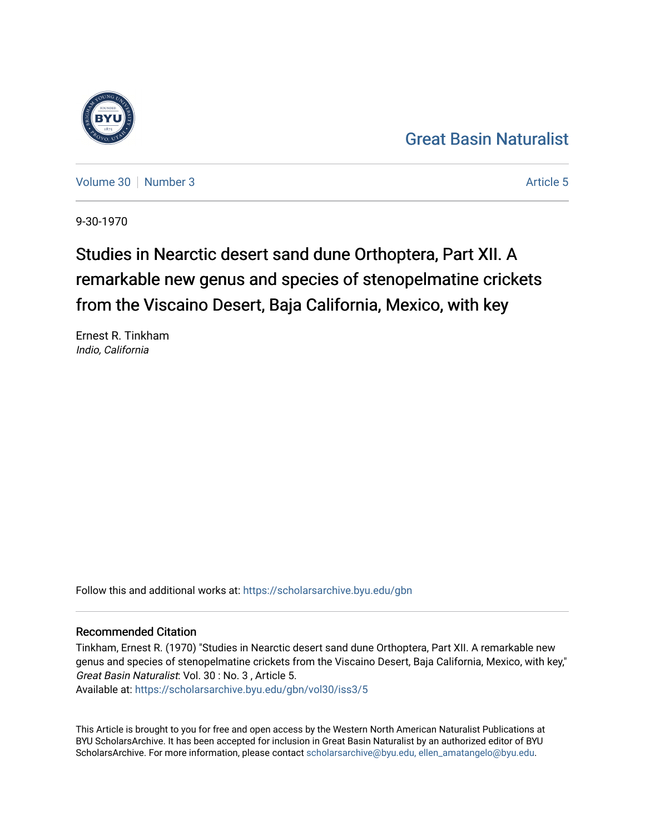## [Great Basin Naturalist](https://scholarsarchive.byu.edu/gbn)

[Volume 30](https://scholarsarchive.byu.edu/gbn/vol30) [Number 3](https://scholarsarchive.byu.edu/gbn/vol30/iss3) [Article 5](https://scholarsarchive.byu.edu/gbn/vol30/iss3/5) Article 5 Article 5

9-30-1970

# Studies in Nearctic desert sand dune Orthoptera, Part XII. A remarkable new genus and species of stenopelmatine crickets from the Viscaino Desert, Baja California, Mexico, with key

Ernest R. Tinkham Indio, California

Follow this and additional works at: [https://scholarsarchive.byu.edu/gbn](https://scholarsarchive.byu.edu/gbn?utm_source=scholarsarchive.byu.edu%2Fgbn%2Fvol30%2Fiss3%2F5&utm_medium=PDF&utm_campaign=PDFCoverPages) 

### Recommended Citation

Tinkham, Ernest R. (1970) "Studies in Nearctic desert sand dune Orthoptera, Part XII. A remarkable new genus and species of stenopelmatine crickets from the Viscaino Desert, Baja California, Mexico, with key," Great Basin Naturalist: Vol. 30 : No. 3 , Article 5.

Available at: [https://scholarsarchive.byu.edu/gbn/vol30/iss3/5](https://scholarsarchive.byu.edu/gbn/vol30/iss3/5?utm_source=scholarsarchive.byu.edu%2Fgbn%2Fvol30%2Fiss3%2F5&utm_medium=PDF&utm_campaign=PDFCoverPages)

This Article is brought to you for free and open access by the Western North American Naturalist Publications at BYU ScholarsArchive. It has been accepted for inclusion in Great Basin Naturalist by an authorized editor of BYU ScholarsArchive. For more information, please contact [scholarsarchive@byu.edu, ellen\\_amatangelo@byu.edu.](mailto:scholarsarchive@byu.edu,%20ellen_amatangelo@byu.edu)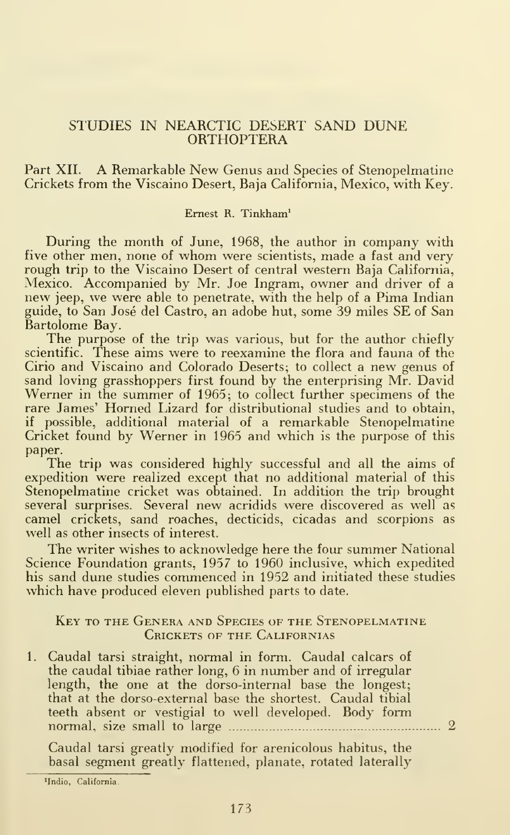#### STUDIES IN NEARCTIC DESERT SAND DUNE ORTHOPTERA

#### Part XII. A Remarkable New Genus and Species of Stenopelmatine Crickets from the Viscaino Desert, Baja California, Mexico, with Key.

#### Ernest R. Tinkham^

During the month of June, 1968, the author in company with five other men, none of whom were scientists, made <sup>a</sup> fast and very rough trip to the Viscaino Desert of central western Baja California, Mexico. Accompanied by Mr. Joe Ingram, owner and driver of a new jeep, we were able to penetrate, with the help of a Pima Indian guide, to San Jose del Castro, an adobe hut, some 39 miles SE of San Bartolome Bay.

The purpose of the trip was various, but for the author chiefly scientific. These aims were to reexamine the flora and fauna of the Cirio and Viscaino and Colorado Deserts; to collect a new genus of sand loving grasshoppers first found by the enterprising Mr. David Werner in the summer of 1965; to collect further specimens of the rare James' Homed Lizard for distributional studies and to obtain, if possible, additional material of a remarkable Stenopelmatine Cricket found by Werner in 1965 and which is the purpose of this paper.

The trip was considered highly successful and all the aims of expedition were realized except that no additional material of this Stenopelmatine cricket was obtained. In addition the trip brought several surprises. Several new acridids were discovered as well as camel crickets, sand roaches, decticids, cicadas and scorpions as well as other insects of interest.

The writer wishes to acknowledge here the four summer National Science Foundation grants, 1957 to 1960 inclusive, which expedited his sand dune studies commenced in 1952 and initiated these studies which have produced eleven published parts to date.

#### Key to the Genera and Species of the Stenopelmatine Crickets of the Californias

1. Caudal tarsi straight, normal in form. Caudal calcars of the caudal tibiae rather long, 6 in number and of irregular length, the one at the dorso-internal base the longest; that at the dorso-external base the shortest. Caudal tibial teeth absent or vestigial to well developed. Body form normal, size small to large - 2

Caudal tarsi greatly modified for arenicolous habitus, the basal segment greatly flattened, planate, rotated laterally

<sup>&#</sup>x27;Indio, California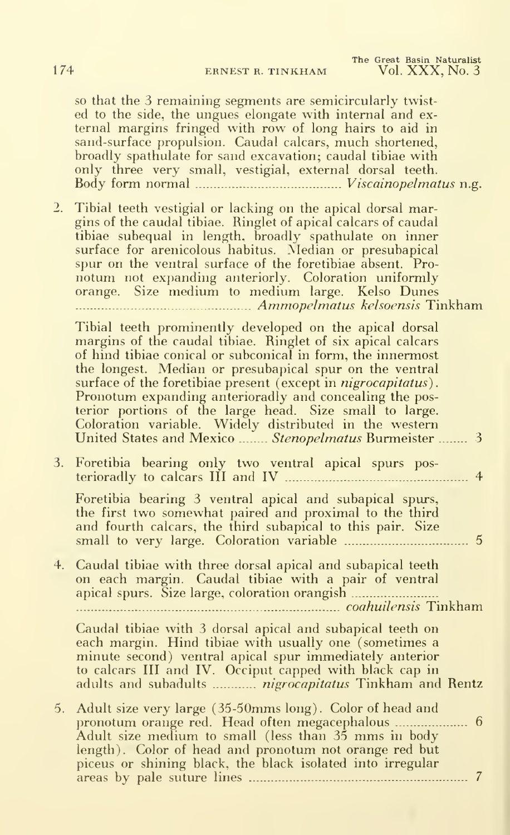The Great Basin Naturalist 174 ERNEST R. TINKHAM Vol. XXX, No. 3

so that the 3 remaining segments are semicircularly twisted to the side, the ungues elongate with internal and ex ternal margins fringed with row of long hairs to aid in sand-surface propulsion. Caudal calcars, much shortened, broadly spathulate for sand excavation; caudal tibiae with only three very small, vestigial, external dorsal teeth. Body form normal Viscainopelmatus n.g.

2. Tibial teeth vestigial or lacking on the apical dorsal margins of the caudal tibiae. Ringlet of apical calcars of caudal tibiae subequal in length, broadly spathulate on inner surface for arenicolous habitus. Median or presubapical spur on the ventral surface of the foretibiae absent. Pro notum not expanding anteriorly. Coloration uniformly orange. Size medium to medium large. Kelso Dunes Ammopelmatus kelsoensis Tinkham

Tibial teeth prominently developed on the apical dorsal margins of the caudal tibiae. Ringlet of six apical calcars of hind tibiae conical or subconical in form, the innermost the longest. Median or presubapical spur on the ventral surface of the foretibiae present (except in *nigrocapitatus*). Pronotum expanding anterioradly and concealing the posterior portions of the large head. Size small to large. Coloration variable. Widely distributed in the western United States and Mexico ........ Stenopelmatus Burmeister ........ 3

|  | 3. Foretibia bearing only two ventral apical spurs pos- |  |  |  |
|--|---------------------------------------------------------|--|--|--|
|  |                                                         |  |  |  |

Foretibia bearing 3 ventral apical and subapical spurs, the first two somewhat paired and proximal to the third and fourth calcars, the third subapical to this pair. Size small to very large. Coloration variable 5

4. Caudal tibiae with three dorsal apical and subapical teeth on each margin. Caudal tibiae with a pair of ventral apical spurs. Size large, coloration orangish ................

coahuilensis Tinkham

Caudal tibiae with 3 dorsal apical and subapical teeth on each margin. Hind tibiae with usually one (sometimes a minute second) ventral apical spur immediately anterior to calcars III and IV. Occiput capped with black cap in adults and subadults *.............. nigrocapitatus* Tinkham and Rentz

5. Adult size very large (35-50mms long). Color of head and pronotum orange red. Head often megacephalous ..................... 6 Adult size medium to small (less than <sup>35</sup> mms in body length). Color of head and pronotum not orange red but piceus or shining black, the black isolated into irregular areas by pale suture lines 7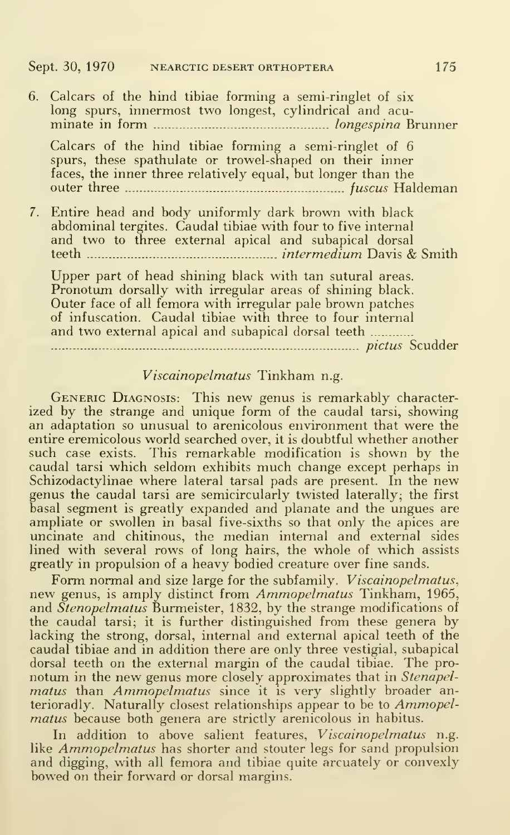Calcars of the hind tibiae forming a semi-ringlet of 6 spurs, these spathulate or trowel-shaped on their inner faces, the inner three relatively equal, but longer than the outer three fuscus Haldeman

7. Entire head and body uniformly dark brown with black abdominal tergites. Caudal tibiae with four to five internal and two to three external apical and subapical dorsal teeth intermedium Davis & Smith

Upper part of head shining black with tan sutural areas. Pronotum dorsally with irregular areas of shining black. Outer face of all femora with irregular pale brown patches of infuscation. Caudal tibiae with three to four internal and two external apical and subapical dorsal teeth

pictus Scudder

#### Viscainopelmatus Tinkham n.g.

Generic Diagnosis: This new genus is remarkably characterized by the strange and unique form of the caudal tarsi, showing an adaptation so unusual to arenicolous environment that were the entire eremicolous world searched over, it is doubtful whether another such case exists. This remarkable modification is shown by the caudal tarsi which seldom exhibits much change except perhaps in Schizodactylinae where lateral tarsal pads are present. In the new genus the caudal tarsi are semicircularly twisted laterally; the first basal segment is greatly expanded and planate and the ungues are ampliate or swollen in basal five-sixths so that only the apices are uncinate and chitinous, the median internal and external sides lined with several rows of long hairs, the whole of which assists greatly in propulsion of a heavy bodied creature over fine sands.

Form normal and size large for the subfamily. *Viscainopelmatus*, new genus, is amply distinct from Ammopelmatus Tinkham, 1965, and Stenopelmatus Burmeister, 1832, by the strange modifications of the caudal tarsi; it is further distinguished from these genera by lacking the strong, dorsal, internal and external apical teeth of the caudal tibiae and in addition there are only three vestigial, subapical dorsal teeth on the external margin of the caudal tibiae. The pro notum in the new genus more closely approximates that in Stenapel $matus$  than  $Ammopelmatus$  since it is very slightly broader anterioradly. Naturally closest relationships appear to be to Ammopelmatus because both genera are strictly arenicolous in habitus.

In addition to above salient features, Viscainopelmatus n.g. like Ammopelmatus has shorter and stouter legs for sand propulsion and digging, with all femora and tibiae quite arcuately or convexly bowed on their forward or dorsal margins.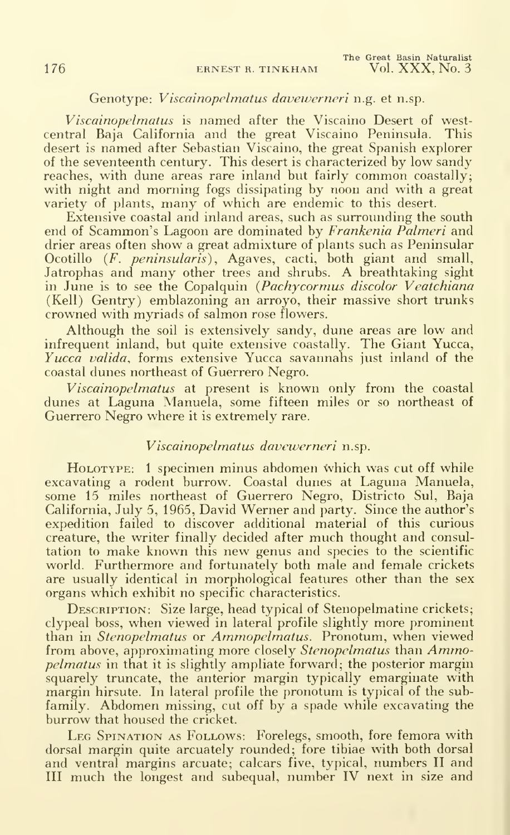#### Genotype: Viscainopelmatus davewerneri n.g. et n.sp.

*Viscainopelmatus* is named after the Viscaino Desert of west-<br>tral Baia California and the great Viscaino Peninsula. This central Baja California and the great Viscaino Peninsula. desert is named after Sebastian Viscaino, the great Spanish explorer of the seventeenth century. This desert is characterized by low sandy reaches, with dune areas rare inland but fairly common coastally; with night and morning fogs dissipating by noon and with a great variety of plants, many of which are endemic to this desert.

Extensive coastal and inland areas, such as surrounding the south end of Scammon's Lagoon are dominated by Frankenia Palmeri and drier areas often show a great admixture of plants such as Peninsular Ocotillo *(F. peninsularis)*, Agaves, cacti, both giant and small,<br>Jatrophas and many other trees and shrubs. A breathtaking sight in June is to see the Copalquin (Pachycormus discolor Veatchiana (Kell) Gentry) emblazoning an arroyo, their massive short trunks crowned with myriads of salmon rose flowers.

Although the soil is extensively sandy, dune areas are low and infrequent inland, but quite extensive coastally. The Giant Yucca, Yucca valida, forms extensive Yucca savannahs just inland of the coastal dunes northeast of Guerrero Negro.

Viscainopelmatus at present is known only from the coastal dunes at Laguna Manuela, some fifteen miles or so northeast of Guerrero Negro where it is extremely rare.

#### Viscainopelmatus davewerneri n.sp.

HOLOTYPE: 1 specimen minus abdomen which was cut off while excavating a rodent burrow. Coastal dunes at Laguna Manuela, some 15 miles northeast of Guerrero Negro, Districto Sul, Baja California, July 5, 1965, David Werner and party. Since the author's expedition failed to discover additional material of this curious creature, the writer finally decided after much thought and consultation to make known this new genus and species to the scientific world. Furthermore and fortunately both male and female crickets are usually identical in morphological features other than the sex organs which exhibit no specific characteristics.

DESCRIPTION: Size large, head typical of Stenopelmatine crickets; clypeal boss, when viewed in lateral profile slightly more prominent than in Stenopelmatus or Ammopelmatus. Pronotum, when viewed from above, approximating more closely Stenopelmatus than Ammo*pelmatus* in that it is slightly ampliate forward; the posterior margin squarely truncate, the anterior margin typically emarginate with margin hirsute. In lateral profile the pronotum is typical of the subfamily. Abdomen missing, cut off by <sup>a</sup> spade while excavating the burrow that housed the cricket.

LEG SPINATION AS FOLLOWS: Forelegs, smooth, fore femora with dorsal margin quite arcuately rounded; fore tibiae with both dorsal and ventral margins arcuate; calcars five, typical, numbers II and III much the longest and subequal, number IV next in size and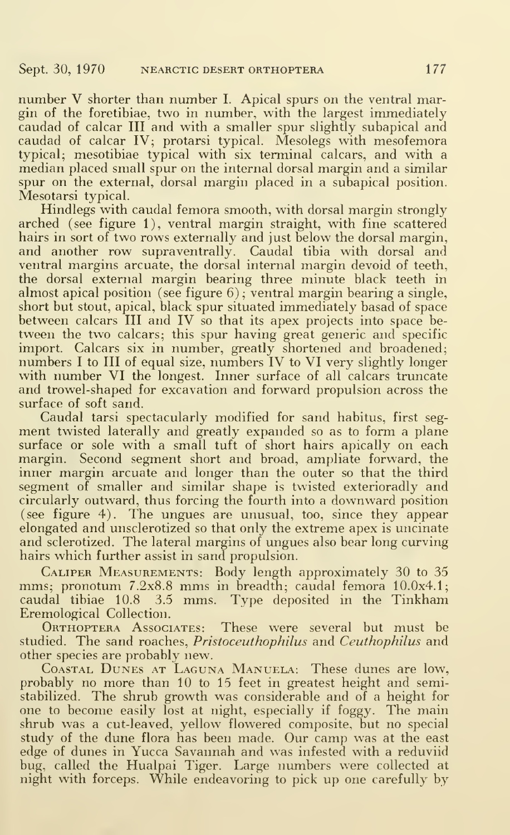number V shorter than number I. Apical spurs on the ventral margin of the foretibiae, two in number, with the largest immediately caudad of calcar III and with a smaller spur slightly subapical and caudad of calcar IV; protarsi typical. Mesolegs with mesofemora typical; mesotibiae typical with six terminal calcars, and with a median placed small spur on the internal dorsal margin and a similar spur on the external, dorsal margin placed in a subapical position. Mesotarsi typical.

Hindlegs with caudal femora smooth, with dorsal margin strongly arched (see figure 1), ventral margin straight, with fine scattered hairs in sort of two rows externally and just below the dorsal margin, and another row supraventrally. Caudal tibia with dorsal and ventral margins arcuate, the dorsal internal margin devoid of teeth, the dorsal external margin bearing three minute black teeth in almost apical position (see figure 6) ; ventral margin bearing a single, short but stout, apical, black spur situated immediately basad of space between calcars III and IV so that its apex projects into space be tween the two calcars; this spur having great generic and specific import. Calcars six in number, greatly shortened and broadened; numbers <sup>I</sup> to III of equal size, numbers IV to VI very slightly longer with number VI the longest. Inner surface of all calcars truncate and trowel-shaped for excavation and forward propulsion across the surface of soft sand.

Caudal tarsi spectacularly modified for sand habitus, first seg ment twisted laterally and greatly expanded so as to form a plane surface or sole with a small tuft of short hairs apically on each margin. Second segment short and broad, ampliate forward, the inner margin arcuate and longer than the outer so that the third segment of smaller and similar shape is twisted exterioradly and circularly outward, thus forcing the fourth into a downward position (see figure 4). The ungues are unusual, too, since they appear elongated and unsclerotized so that only the extreme apex is uncinate and sclerotized. The lateral margins of ungues also bear long curving hairs which further assist in sand propulsion.

Caliper Measurements: Body length approximately 30 to 35 mms; pronotum 7.2x8.8 mms in breadth; caudal femora 10.0x4.1; caudal tibiae 10.8 3.5 mms. Type deposited in the Tinkham Eremological Collection.

ORTHOPTERA AssoCIATES: These were several but must be studied. The sand roaches, *Pristoceuthophilus* and *Ceuthophilus* and other species are probably new.

Coastal Dunes at Laguna Manuela: These dunes are low, probably no more than 10 to 15 feet in greatest height and semistabilized. The shrub growth was considerable and of a height for one to become easily lost at night, especially if foggy. The main shrub was a cut-leaved, yellow flowered composite, but no special study of the dune flora has been made. Our camp was at the east edge of dunes in Yucca Savannah and was infested with a reduviid bug, called the Hualpai Tiger. Large numbers were collected at night with forceps. While endeavoring to pick up one carefully by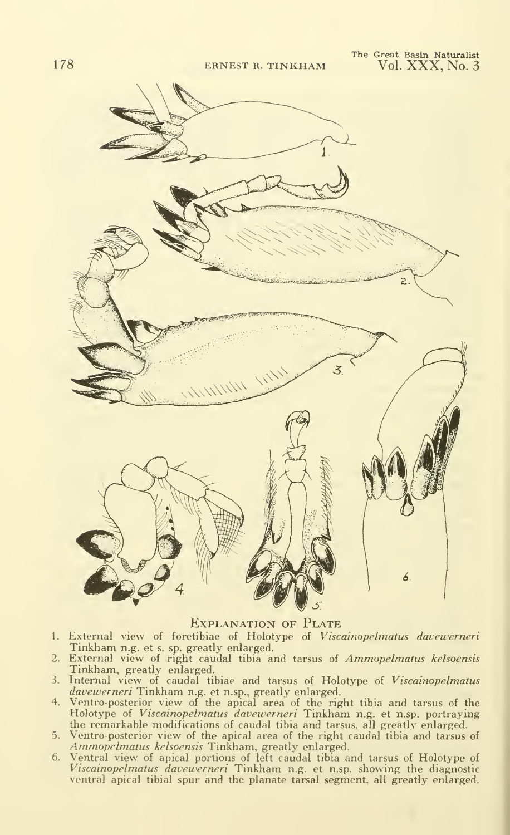

Explanation of Plate

- External view of foretibiae of Holotype of Viscainopelmatus davewerneri  $1.$ Tinkham n.g. et s. sp. greatly enlarged.
- 2. External view of right caudal tibia and tarsus of Ammopelmatus kelsoensis Tinkham, greatly enlarged.
- 3. Internal view of caudal tibiae and tarsus of Holotype of Viscainopelmatus davewerneri Tinkham n.g. et n.sp., greatly enlarged.
- Ventro-posterior view of the apical area of the right tibia and tarsus of the Holotype of Viscainopelmatus davewerneri Tinkham n.g. et n.sp. portraying the remarkable modifications of caudal tibia and tarsus, all greatly enlarged.<br>5. Ventro-posterior view of the apical area of the right caudal tibia and tarsus of
- Ventro-posterior view of the apical area of the right caudal tibia and tarsus of Ammo*pelmatus kelsoensis* Tinkham, greatly enlarged.
- Ventral view of apical portions of left caudal tibia and tarsus of Holotype of<br>*Viscainopelmatus davewerneri* Tinkham n.g. et n.sp. showing the diagnostic ventral apical tibial spur and the planate tarsal segment, all greatly enlarged.